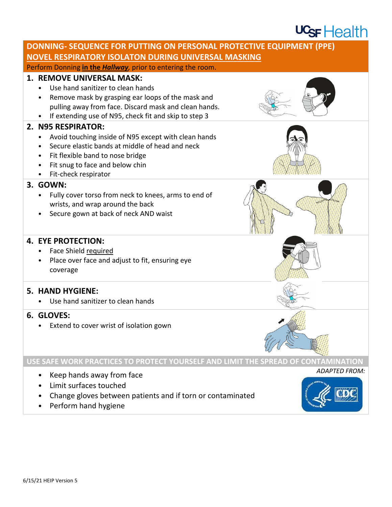# $UGF$  Health



• Perform hand hygiene